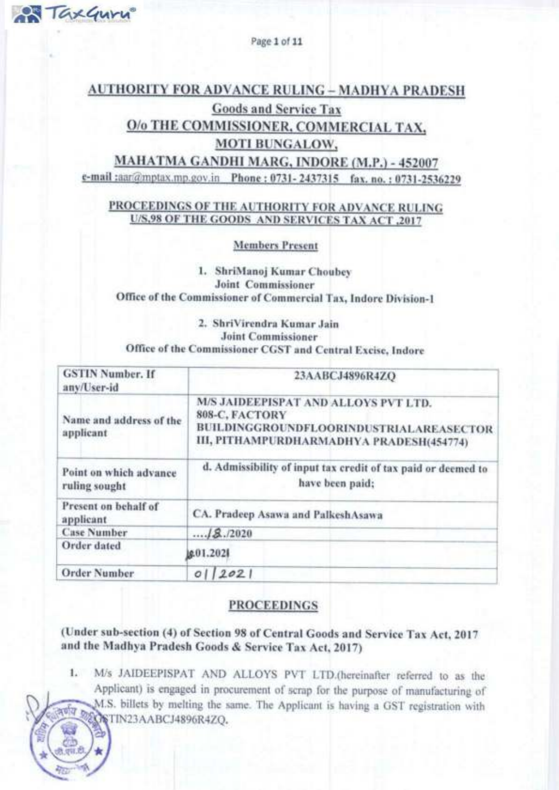Page 1 of 11

TaxGuru

## **AUTHORITY FOR ADVANCE RULING - MADHYA PRADESH**

## **Goods and Service Tax** O/o THE COMMISSIONER, COMMERCIAL TAX. **MOTI BUNGALOW,**

MAHATMA GANDHI MARG, INDORE (M.P.) - 452007 e-mail:aar@mptax.mp.gov.in Phone: 0731-2437315 fax. no.: 0731-2536229

## PROCEEDINGS OF THE AUTHORITY FOR ADVANCE RULING U/S,98 OF THE GOODS AND SERVICES TAX ACT ,2017

**Members Present** 

1. ShriManoj Kumar Choubey **Joint Commissioner** Office of the Commissioner of Commercial Tax, Indore Division-1

## 2. ShriVirendra Kumar Jain **Joint Commissioner** Office of the Commissioner CGST and Central Excise, Indore

| <b>GSTIN Number, If</b><br>any/User-id  | 23AABCJ4896R4ZQ                                                                                                                               |
|-----------------------------------------|-----------------------------------------------------------------------------------------------------------------------------------------------|
| Name and address of the<br>applicant    | M/S JAIDEEPISPAT AND ALLOYS PVT LTD.<br>808-C, FACTORY<br>BUILDINGGROUNDFLOORINDUSTRIALAREASECTOR<br>III, PITHAMPURDHARMADHYA PRADESH(454774) |
| Point on which advance<br>ruling sought | d. Admissibility of input tax credit of tax paid or deemed to<br>have been paid;                                                              |
| Present on behalf of<br>applicant       | CA. Pradeep Asawa and PalkeshAsawa                                                                                                            |
| <b>Case Number</b>                      | 18.72020                                                                                                                                      |
| Order dated                             | g.01.2021                                                                                                                                     |
| <b>Order Number</b>                     | 2021<br>O <sub>1</sub>                                                                                                                        |

## **PROCEEDINGS**

(Under sub-section (4) of Section 98 of Central Goods and Service Tax Act, 2017 and the Madhya Pradesh Goods & Service Tax Act, 2017)

M/s JAIDEEPISPAT AND ALLOYS PVT LTD.(hereinafter referred to as the  $1.$ Applicant) is engaged in procurement of scrap for the purpose of manufacturing of M.S. billets by melting the same. The Applicant is having a GST registration with  $500$ **ROSTIN23AABCJ4896R4ZQ.**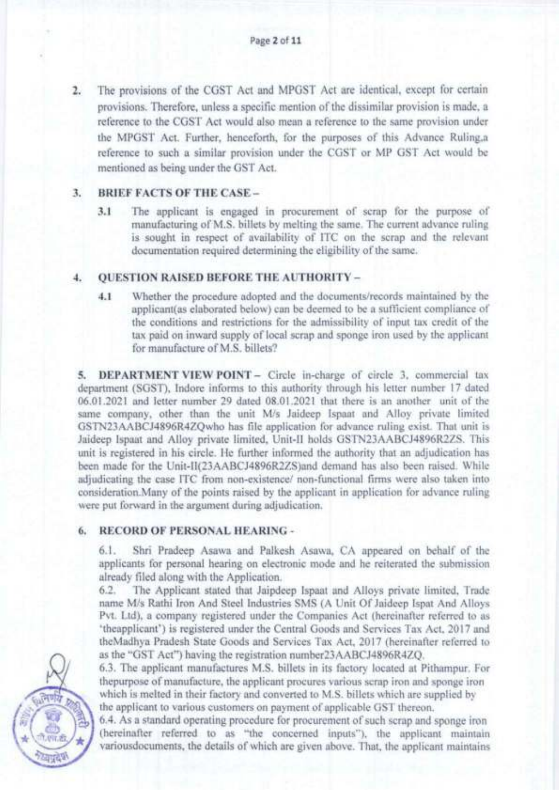2. The provisions of the CGST Act and MPGST Act are identical, except for cenain provisions. Therefore, unless a specific mention of the dissimilar provision is made, a reference to the CGST Act would also mean a reference to the same provision under the MPGST Act. Further, henceforth, for the purposes of this Advance Ruling,a reference to such a similar provision under the CCST or MP GST Act would be mentioned as being under the GST Act.

#### BRIEF FACTS OF THE CASE \_ 3.

3.1 The applicant is engaged in procurement of scrap for the purpose of manufacturing of M.S. billets by melting the same, The current advance ruling is sought in respect of availability of ITC on the scrap and the relevant documentation required determining the eligibility of the same.

#### QUESTION RAISED BEFORE THE AUTHORJTY - 1.

4.1 Whether the procedure adopted and the documents/records maintained by the applicant(as elaborated below) can be deemed to be a sufficient compliance of the conditions and restrictions for the admissibility of input tax credit of the tax paid on inward supply of local scrap and sponge iron used by the applicant for manufacture of M.S. billets?

5. DEPARTMENT VIEW POINT - Circle in-charge of circle 3, commercial tax department (SGST), Indore informs to this authority through his letter number 17 dated 06.01.2021 and letter number 29 dated 08.01.2021 that there is an another unit of the same company, other than the unit M/s Jaideep Ispaat and Alloy private limited GSTN23AABCJ4896R4ZQWho has file application for advance ruling exist. That unit is Jaideep Ispaat and Alloy private limited, Unit-II holds GSTN23AABCJ4896R2ZS. This unit is registered in his circle. He further informed the authority that an adjudication has been made for the Unit-ll(23AABCJ4896R2ZS)and demand has also been raised. while adjudicating the case ITC from non-existence/ non-functional firms were also taken into consideration. Many of the points raised by the applicant in application for advance ruling were put forward in the argument during adjudication.

## 6. RECORD OF PERSONAL HEARING -

6.1. Shi Pradeep Asawa and Palkesh Asawa, CA appeared on behalf of the applicants for personal hearing on electronic mode and he reiterated the submission already filed along with the Application.

6.2. The Applicant stated that Jaipdeep Ispaat and Alloys private limited, Trade name M/s Rathi lron And Steel Industries SMS (A Unit Of Jaideep Ispat And Alloys Pvt. Ltd), a company registered under the Companies Act (hereinafter referred to as 'theapplicant') is registered under the Central Goods and Services Tax Act, 2017 and theMadhya Pradesh State Goods and Services Tax Act, 2017 (hereinafter referred to as the "GST Act") having the registration number23AABCJ4896R4ZQ.

6.3, The applicant manufactures M.S. billets in its factory located at Pithampur, For thepurpose of manufacture, the applicant procures various scrap iron and sponge iron which is melted in their factory and converted to M.S. billets which are supplied by the applicant to various customers on payment of applicable GST thereon.

6.4. As a standard operating procedure for procurement of such scrap and sponge iron (hereinafter referred to as "the concemed inputs"), the applicant mainrain variousdocuments, the details of which are given above. That, the applicant maintains

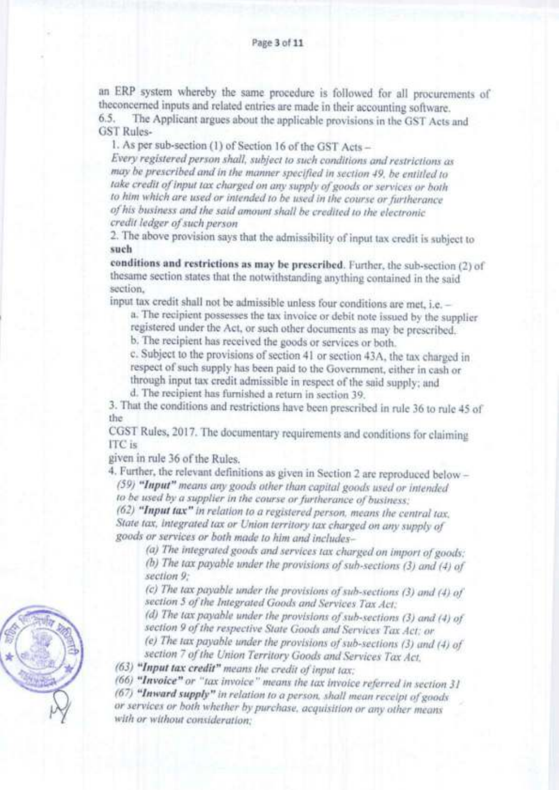an ERP system whereby the same procedure is followed for all procurements of the<br>concerned inputs and related entries are made in their accounting software. 6.5. The Applicant argues about the applicable provisions in the GST Acts and

GST Rules-

1. As per sub-section (1) of Section 16 of the GST Acts -

Every registered person shall, subject to such conditions and restrictions as may be prescribed and in the manner specified in section 49, be entitled to take credit of input tax charged on any supply of goods or services or both to him which are used or intended to be used in the course or furtherance oJ his business and the said anount shall be credited to the electronic credit ledger of such person

2. The above provision says that the admissibility of input tax credit is subject to such

conditions and restrictions as may be prescribed. Funher, the sub-section (2) of thesame section states that the notwithstanding anything contained in the said section,

input tax credit shall not be admissible unless four conditions are met, i.e. -

a. The recipient possesses the tax invoice or debit note issued by the supplier

registered under the Act, or such other documents as may be prescribed.

b. The recipient has received the goods or services or boih.

c. Subject to the provisions of section 41 or section 43A, the tax charged in respect of such supply has been paid to the Government, either in cash or

through input tax credit admissible in respect of the said supply; and

d. The recipient has fumished a retum in section 39.

3. That the conditions and restrictions have been prescribed in rule 36 to rule 45 of the

CGST Rules, 2017. The documentary requirements and conditions for claiming ITC is

given in rule 36 of the Rules.

4. Further, the relevant definitions as given in Section 2 are reproduced below -(59) "Input" means any goods other than capital goods used or intended

to be used by a supplier in the course or furtherance of business;

(62) "Input tax" in relation to a registered person, means the central tax. State tax, integrated tax or Union territory tax charged on any supply of goods or services or both made to him and includes-

(a) The integrated goods and services tax charged on import of goods: (b) The tax payable under the provisions of sub-sections  $(3)$  and  $(4)$  of section 9:

(c) The tax payable under the provisions of sub-sections (3) and (4) of section 5 of the Integrated Goods and Services Tax Act:

(d) The tax payable under the provisions of sub-sections (3) and (4) of section 9 of the respective State Goods and Services Tax Act: or

(e) The tax payable under the provisions of sub-sections  $(3)$  and  $(4)$  of section 7 of the Union Territory Goods and Services Tax Act,

 $(63)$  "Input tax credit" means the credit of input tax:

 $(66)$  "Invoice" or "tax invoice" means the tax invoice referred in section  $31$ 

(67) "Inward supply" in relation to a person, shall mean receipt of goods or services or both whether by purchase, acquisition or any other means with or without consideration:

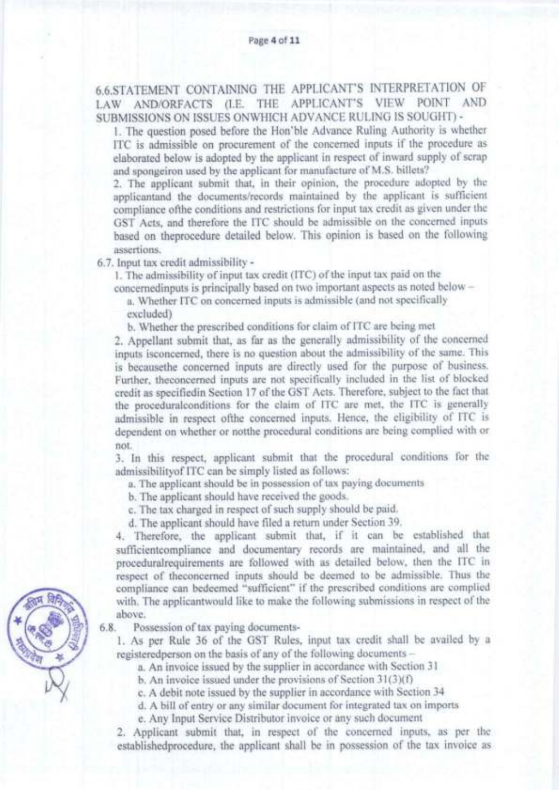6.6,STATEMENT CONTAINING THE APPLICANT'S INTERPRETATION OF LAW AND/ORFACTS (I.8. THE APPLICANT'S VIEW POINT AND SUBMISSTONS ON ISSUES ONWHICH ADVANCE RULING IS SOUGHT) .

l. The question posed before the Hon'ble Advance Ruling Authority is whether ITC is admissible on procurement of the concemed inputs if the procedure as elaborated below is adopted by the applicant in respect of inward supply of scrap and spongeiron used by the applicant for manufacture of M.S. billets?

2. The applicant submit that, in their opinion, the procedure adopted by the applicantand the documents/records maintained by the applicant is sufficient compliance ofthe conditions and rcsrictions for input tax credit as given under thc GST Acts, and therefore the ITC should be admissible on the concemed inputs based on theprocedure detailed below. This opinion is based on the following assertions.

6.7. Input tax credit admissibility -

1. The admissibility of input tax credit (ITC) of the input tax paid on the concemedinputs is principally based on two important aspects as noted below -

a. Whether ITC on concemed inputs is admissible (and not specifically excluded)

b. Whether the prescribed conditions for claim of ITC are being met

2. Appellant submit that, as far as the generally admissibility of the concemed inputs isconcemed, there is no question aboui the admissibility of the same. This is becausethe concemed inputs are directly used for the purpose of business. Further, theconcemed inputs are not specifically included in the list of blocked credit as specifiedin Section 17 of the GST Acts. Therefore, subject to the fact that the proceduralconditions for the claim of ITC are met, the ITC is generally admissible in respect ofthe concemed inputs. Hence, the eligibility of ITC is dependent on whether or notthe procedural conditions are being complied with or not.

3. In this respect, applicant submit that the procedural conditions lor the admissibilityof ITC can be simply listed as follows:

a. The applicant should be in possession of tax paying documents

b, The applicant should have received the goods.

c. The tax charged in respect of such supply should be paid.

d. The applicant should have filed a retum under Section 39.

4. Therefore, the applicant submit that, if it can be established that sufficientcompliance and documentary records are maintained, and all the proceduralrequirements are followed with as detailed below, then the ITC in respect of theconcerned inputs should be deemed to be admissible. Thus the compliance can bedeemed "sufficient" if the prescribed conditions are complied with. The applicantwould like to make the following submissions in respect of the above.

6.8. Possession of tax paying documents-

1. As per Rule 36 of the GST Rules, input tax credit shall be availed by <sup>a</sup> registeredperson on the basis of any of the following documents -

a. An invoice issued by the supplier in accordance with Section 3l

b. An invoice issued under the provisions of Section  $31(3)(f)$ 

c. A debit note issued by the supplier in accordance with Section 34

d. A bill of entry or any similar document for integrated tax on imports

e. Any Input Service Distributor invoice or any such document

2. Applicant submit that, in respect of the concerned inputs, as per the establishedprocedure, the applicant shall be in possession of the tax invoice as

ffind the state of **Saltan #**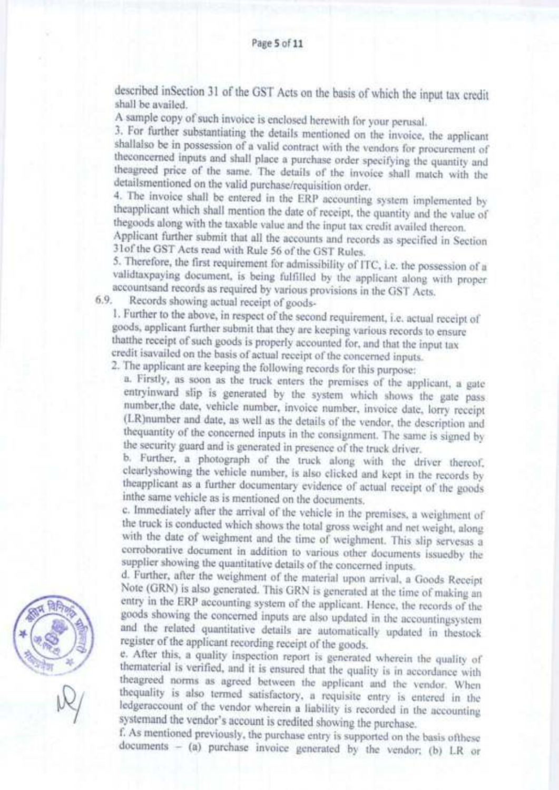described inSection 31 of the GST Acts on the basis of which the input tax credit shall be availed.

A sample copy of such invoice is enclosed herewith for your perusal.

3. For further substantiating the details mentioned on the invoice, the applicant shallalso be in possession of a valid contract with the vendors for procurement of theconcerned inputs and shall place a purchase order specifying the quantity and theagreed price of the same. The details of the invoice shall match with the detailsmentioned on the valid purchase/requisition order.

4. The invoice shall be entered in the ERP accounting system implemented by theapplicant which shall mention the date of receipt, the quantity and the value of thegoods along with the taxable value and the input tax credit availed thereon.

Applicant further submit that all the accounts and records as specified in Section 3lofthe GST Acts read with Rule 56 ofthe CST Rules.

5. Therefore, the first requirement for admissibility of ITC, i.e. the possession of <sup>a</sup> validtaxpaying document, is being fulfilled by the applicant along with proper accountsand records as required by various provisions in the GST Acts.<br>Records showing actual receipt of goods-

6.9.

1. Further to the above, in respect of the second requirement, i.e. actual receipt of goods, applicant further submit that they are keeping various records to ensure thatthe receipt of such goods is properly accounted for, and that the input tax credit isavailed on the basis of actual receipt of the concerned inputs.

2. The applicant are keeping the following records for this purpose:

a. Firstly, as soon as the truck enters the premises of the applicant, a gare entryinward slip is generated by the system which shows ihe gate pass number,the date, vehicle number, invoice number, invoice date, lorry receipt (LR)number and date, as well as the details of the vendor, the description and thequantity of the concerned inputs in the consignment. The same is signed by the security guard and is generated in presence of the truck driver.

b. Further, a photograph of the truck along with the driver thereof, clearlyshowing the vehicle number, is also clicked and kept in the records by the<br>applicant as a further documentary evidence of actual receipt of the go inthe same vehicle as is mentioned on the documents.

c. Immediately after the arrival of the vehicle in the premises, a weighment of the truck is conducted which shows the total gross weight and net weight, along with the date of weighment and the time of weighment. This slip servesas a corroborative document in addition to various other documents issuedby the supplier showing the quantitative details of the concerned inputs.

d. Further, after the weighment of the material upon arrival, a Goods Receipt Note (GRN) is also generated. This GRN is generated at the time of making an entry in the ERP accounting system of the applicant. Hence, the records of the goods showing the concerned inputs are also updated in the account and the related quantitative details are automatically updated in fiestock register of the applicant recording receipt of the goods.<br>e. After this, a quality inspection report is generated wherein the quality of

thematerial is verified, and it is ensured that the quality is in accordance with the<br>agreed norms as agreed between the applicant and the vendor. When<br>the<br>quality is also termed satisfactory, a requisite entry is entered systemand the vendor's account is credited showing the purchase.

f. As mentioned previously, the purchase entry is sipponed on the basis ofthese documents - (a) purchase invoice generated by the vendor; (b) LR or



 $\bowtie$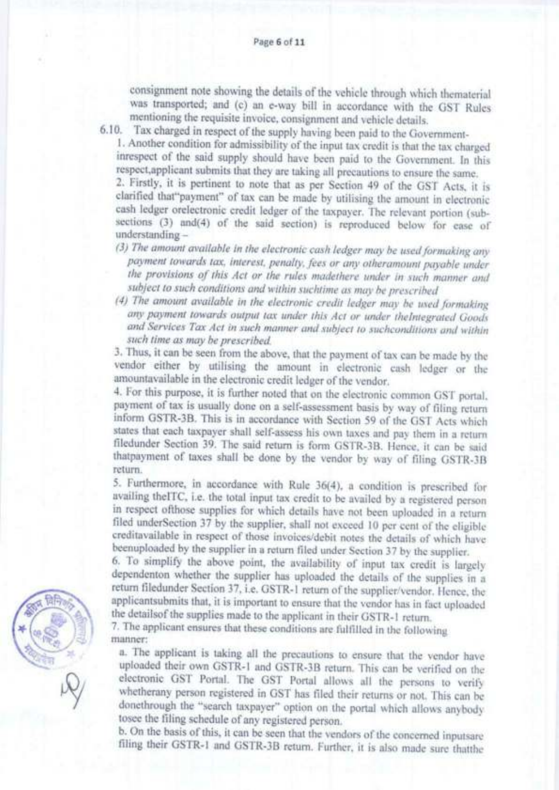consignment note showing the details of the vehicle through which thematerial was transported; and (c) an e-way bill in accordance with the GST Rules mentioning the requisite invoice, consignment and vehicle details.

6.10. Tax charged in respect of the supply having been paid to the Government-

1. Another condition for admissibility of the input tax credit is that the tax charged inrespect of the said supply should have been paid to the Government. In this respect,applicant submits that they arc taking all precautions to ensure the same.

2. Firstly, it is pertinent to note that as per Section 49 of the GST Acts, it is clarified that"payment" of tax can be made by utilising the amount in electronic cash ledger orelectronic credit ledger of the taxpayer. The relevant portion (subsections (3) and(4) of the said section) is reproduced below for ease of understanding -

- (3) The amount available in the electronic cash ledger may be used formaking any payment towards tax, interest, penalty, fees or any otheramount payable under the provisions of this Act or the rules madethere under in such manner and subject to such conditions and within suchtime as may be prescribed<br>(4) The amount available in the electronic credit ledger may be used formaking
- any payment towards output tax under this Act or under theIntegrated Goods and Services Tax Act in such manner and subject to suchconditions and within such time as may be prescribed.

3. Thus, it can be seen from the above, that the payment of tax can be made by the vendor either by utilising the amount in electronic cash ledger or the amountavailable in the electronic credit ledger of the vendor.

4. For this pwpose, it is funher noted that on the electronic common GST portal. payment of tax is usually done on a self-assessment basis by way of filing return inform GSTR-3B. This is in accordance with Section 59 of the GST Acts which states that each taxpayer shall self-assess his own taxes and pay them in a return filedunder Section 39. The said return is form GSTR-3B. Hence, it can be said thatpayment of taxes shall be done by the vendor by way of filing GSTR-3B retum.

5. Furthermore, in accordance with Rule 36(4), a condition is prescribed for availing thelTC, i.e. the total input tax credit to be availed by a registered person in respect ofthose supplies for which details have not been uploaded in a return filed underSection 37 by the supplier, shall not exceed 10 per cent of the eligible creditavailable in respect of those invoices/debit notes the details of which have beeruploaded by the supplier in a retum filed under Section 37 by rhe supplier.

6. To simplify the above point, the availability of input tax credit is largely dependenton whether the supplier has uploaded the details of the supplies in a return filedunder Section 37, i.e. GSTR-1 return of the supplier/vendor. Hence, the applicantsubmits that, it is important to ensure that the vendor has in fact uploaded the detailsof the supplies made to the applicant in their GSTR-1 return.

7. The applicant ensures that these conditions are fulfilled in the following manner:

a. The applicant is taking all the precautions to ensure that the vendor have uploaded their own GSTR-1 and GSTR-3B return. This can be verified on the electronic GST Portal. The GST Portal allows all the persons to verify whethemny person registered in GST has filed their retums or not, This can be donethrough the "search taxpayer" option on the portal which allows anybody tosee the filing schedule of any registered person.<br>b. On the basis of this, it can be seen that the vendors of the concerned inputsare

filing their GSTR-1 and GSTR-3B return. Further, it is also made sure thatthe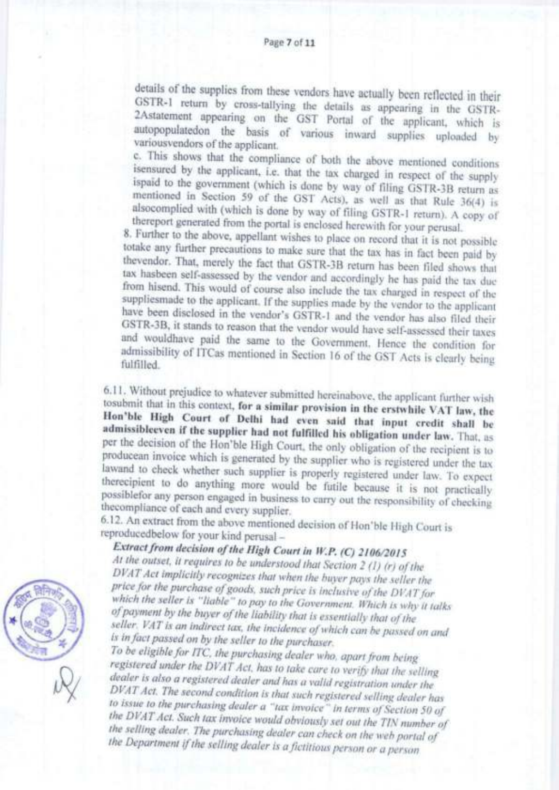details of the supplies from these vendors have actually been reflected in their GSTR-1 return by cross-tallying the details as appearing in the GSTR-2Astatement appearing on the GST Portal of the applicant, which is autopopulatedon the basis of various inward supplies uploaded by variousvendors of the applicant.

c. This shows that the compliance of both the above mentioned conditions isensured by the applicant, i.e. that the tax charged in respect of the supply ispaid to the government (which is done by way of filing GSTR-3B return as mentioned in Section 59 of the GST Acts), as well as that Rule 36(4) is alsocomplied with (which is done by way of filing GSTR-1 return). A copy of thereport generated from the portal is enclosed herewith for your perusal.

8. Further to the above, appellant wishes to place on record that it is not possible totake any further precautions to make sure that the tax has in fact been paid by thevendor. That, merely the fact that GSTR-3B return has been filed shows that tax hasbeen self-assessed by the vendor and accordingly he has paid the tax due from hisend. This would of course also include the tax charged in respect of the suppliesmade to the applicant. If the supplies made by the vendor to the applicant have been disclosed in the vendor's GSTR-1 and the vendor has also filed their GSTR-3B, it stands to reason that the vendor would have self-assessed their taxes and wouldhave paid the same to the Government. Hence the condition for admissibility of ITCas mentioned in Section 16 of the GST Acts is clearly being fulfilled

6.11. Without prejudice to whatever submitted hereinabove, the applicant further wish tosubmit that in this context, for a similar provision in the erstwhile VAT law, the Hon'ble High Court of Delhi had even said that input credit shall be admissibleeven if the supplier had not fulfilled his obligation under law. That, as per the decision of the Hon'ble High Court, the only obligation of the recipient is to producean invoice which is generated by the supplier who is registered under the tax lawand to check whether such supplier is properly registered under law. To expect therecipient to do anything more would be futile because it is not practically possiblefor any person engaged in business to carry out the responsibility of checking thecompliance of each and every supplier.

6.12. An extract from the above mentioned decision of Hon'ble High Court is reproducedbelow for your kind perusal -

# Extract from decision of the High Court in W.P. (C) 2106/2015

At the outset, it requires to be understood that Section 2 (1) (r) of the DVAT Act implicitly recognizes that when the buyer pays the seller the price for the purchase of goods, such price is inclusive of the DVAT for which the seller is "liable" to pay to the Government. Which is why it talks of payment by the buyer of the liability that is essentially that of the seller. VAT is an indirect tax, the incidence of which can be passed on and is in fact passed on by the seller to the purchaser.

To be eligible for ITC, the purchasing dealer who, apart from being registered under the DVAT Act, has to take care to verify that the selling dealer is also a registered dealer and has a valid registration under the DVAT Act. The second condition is that such registered selling dealer has to issue to the purchasing dealer a "tax invoice" in terms of Section 50 of the DVAT Act. Such tax invoice would obviously set out the TIN number of the selling dealer. The purchasing dealer can check on the web portal of the Department if the selling dealer is a fictitious person or a person

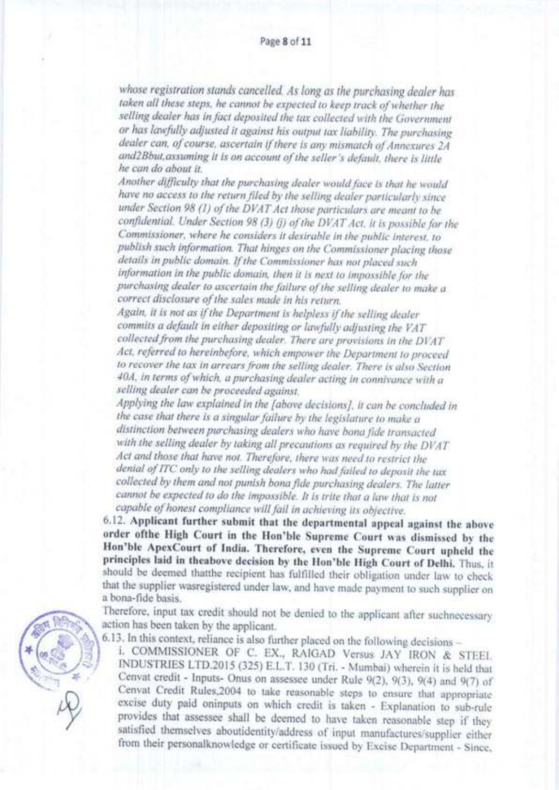whose registration stands cancelled. As long as the purchasing dealer has taken all these steps, he cannot be expected to keep track of whether the selling dealer has in fact deposited the tax collected with the Government or has lawfully adjusted it against his output tax liability. The purchasing dealer can, of course, ascertain if there is any mismatch of Annexures 2A and2Bbut,assuming it is on account ofthe seller's defauh, there is liule he can do about it.

Another difficulty that the purchasing dealer would face is that he would have no access to the return filed by the selling dealer particularly since under Section 98 (1) of the DVAT Act those particulars are meant to be confidential. Under Section 98 (3) (j) of the DVAT Act, it is possible for the Commissioner, where he considers it desirable in rhe public interest, to publish such information. That hinges on the Commissioner placing those details in public domain. If the Commissioner has not placed such information in the public domain, then it is next to impossible for the purchasing dealer to ascertain the failure of the selling dealer to make a correct disclosure of the sales made in his return.

Again, it is not as if the Department is helpless if the selling dealer commits a default in either depositing or lawfully adjusting the VAT collected from the purchasing dealer. There are provisions in the DVAT Act, referred to hereinbefore, which empower the Department to proceed to fecoyer the tax in orrearsfrom the selling dealer. There is also Section 40A, in terms of which, a purchasing dealer acting in connivance with a selling dealer can be proceeded against.

Applying the law explained in the [above decisions], it can be concluded in the case that there is a singular failure by the legislature to make a distinction between purchasing dealers who have bona fide transacted with the selling dealer by taking all precautions as required by the DVAT Act and those that have not. Therefore, there was need to restrict the denial of ITC only to the selling dealers who had failed to deposit the tax collected by them and not punish bona fide purchasing dealers. The latter cannot be expected to do the impossible. It is trite that a law that is not capable of honest compliance will fail in achieving its objective.

6.12. Applicant further submit that the departmental appeal against the above order ofthe High Court in the Hon'ble Supreme Court was dismissed by the Hon'ble ApexCourt of India. Therefore, even the Supreme Court upheld the principles laid in theabove decision by the Hon'ble High Court of Delhi. Thus, it should be deemed thatthe recipiert has fulfilled their obligation under law to check that the supplier wasregistered under law, and have made payment to such supplier on a bona-fide basis.

Therefore, input tax credit should not be denied to the applicant after suchnecessary action has been taken by the applicant.

6.13. In this context, reliance is also further placed on the following decisions \_

i. COMMISSIONER OF C. EX., RAIGAD Versus JAY IRON & STEEL INDUSTRIES LTD.2015 (325) E.L.T. 130 (Tri. - Mumbai) wherein it is held that Cenvat credit - Inputs- Onus on assessee under Rule 9(2), 9(3), 9(4) and 9(7) of Cenvat Credit Rules, 2004 to take reasonable steps to ensure that appropriate excise duty paid oninputs on which credit is taken - Explanation to sub-rule provides that assessee shall be deemed to have taken reasonable step if they satisfied themselves aboutidentity/address of input manufactures/supplier either from their personalknowledge or certificate issued by Excise Department - Since.

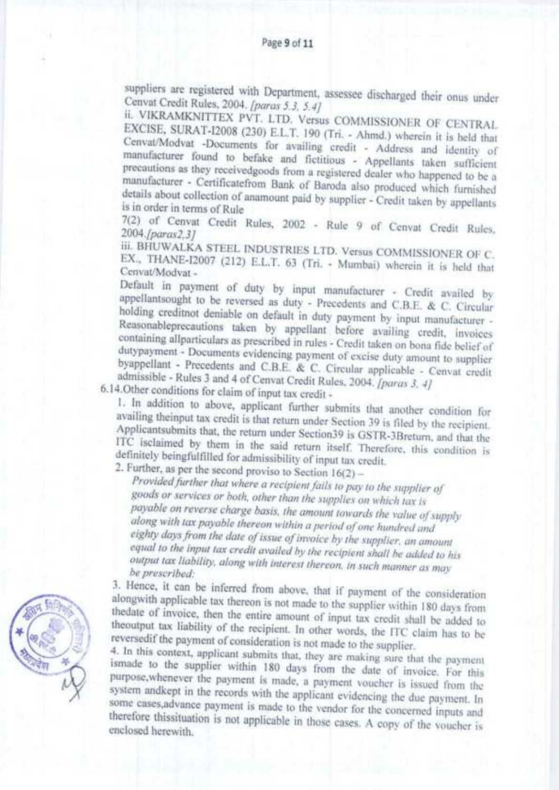suppliers are registered with Department, assessee discharged their onus under Cenvat Credit Rules, 2004. [paras 5.3, 5.4]

ii. VIKRAMKNITTEX PVT. LTD. Versus COMMISSIONER OF CENTRAL EXCISE, SURAT-I2008 (230) E.L.T. 190 (Tri. - Ahmd.) wherein it is held that Cenvat/Modvat -Documents for availing credit - Address and identity of manufacturer found to befake and fictitious - Appellants taken sufficient precautions as they receivedgoods from a registered dealer who happened to be a manufacturer - Certificatefrom Bank of Baroda also produced which furnished details about collection of anamount paid by supplier - Credit taken by appellants is in order in terms of Rule

7(2) of Cenvat Credit Rules, 2002 - Rule 9 of Cenvat Credit Rules, 2004.fparas2.31

III. BHUWALKA STEEL INDUSTRIES LTD. Versus COMMISSIONER OF C. EX., THANE-I2007 (212) E.L.T. 63 (Tri. - Mumbai) wherein it is held that Cenvat/Modvat-

Default in payment of duty by input manufacturer - Credit availed by appellantsought to be reversed as duty - Precedents and C.B.E. & C. Circular holding creditnot deniable on default in duty payment by input manufacturer -Reasonableprecautions taken by appellant before availing credit, invoices containing allparticulars as prescribed in rules - Credit taken on bona fide belief of dutypayment - Documents evidencing payment of excise duty amount to supplier byappellant - Precedents and C.B.E. & C. Circular applicable - Cenvat credit admissible - Rules 3 and 4 of Cenvat Credit Rules, 2004. [paras 3, 4]

6.14. Other conditions for claim of input tax credit -

1. In addition to above, applicant further submits that another condition for availing theinput tax credit is that return under Section 39 is filed by the recipient. Applicantsubmits that, the return under Section39 is GSTR-3Breturn, and that the ITC isclaimed by them in the said return itself. Therefore, this condition is definitely beingfulfilled for admissibility of input tax credit.

2. Further, as per the second proviso to Section  $16(2)$  -

Provided further that where a recipient fails to pay to the supplier of goods or services or both, other than the supplies on which tax is payable on reverse charge basis, the amount towards the value of supply along with tax payable thereon within a period of one hundred and eighty days from the date of issue of invoice by the supplier, an amount equal to the input tax credit availed by the recipient shall be added to his output tax liability, along with interest thereon, in such manner as may he prescribed:

3. Hence, it can be inferred from above, that if payment of the consideration alongwith applicable tax thereon is not made to the supplier within 180 days from thedate of invoice, then the entire amount of input tax credit shall be added to theoutput tax liability of the recipient. In other words, the ITC claim has to be reversedif the payment of consideration is not made to the supplier.

4. In this context, applicant submits that, they are making sure that the payment ismade to the supplier within 180 days from the date of invoice. For this purpose, whenever the payment is made, a payment voucher is issued from the system andkept in the records with the applicant evidencing the due payment. In some cases, advance payment is made to the vendor for the concerned inputs and therefore this situation is not applicable in those cases. A copy of the voucher is enclosed herewith.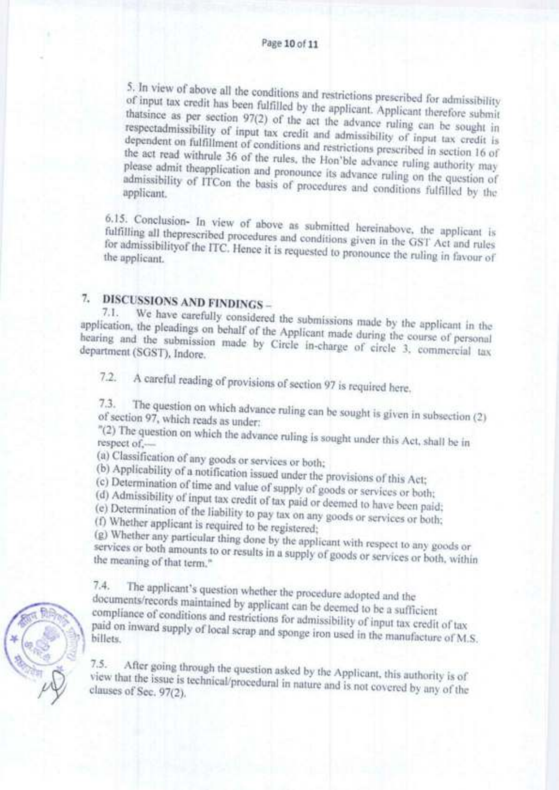5. In view of above all the conditions and restrictions prescribed for admissibility of input tax credit has been fulfilled by the applicant. Applicant therefore submit thatsince as per section 97(2) of the act the advance ruling can be sought in respectadmissibility of input tax credit and admissibility of input tax credit is dependent on fulfillment of conditions and restrictions prescribed in section 16 of the act read withrule 36 of the rules, the Hon'ble advance ruling authority may please admit the<br>application and pronounce its advance ruling on the question of admissibility of ITCon the basis of procedures and conditions fulfilled by the

6.15. Conclusion- In view of above as submitted hereinabove, the applicant is fulfilling all theprescribed procedures and conditions given in the GST Act and rules for admissibility<br>of the ITC. Hence it is requested to pronounce the ruling in favour of

# 7. DISCUSSIONS AND FINDINGS-

We have carefully considered the submissions made by the applicant in the  $7.1.$ application, the pleadings on behalf of the Applicant made during the course of personal hearing and the submission made by Circle in-charge of circle 3, commercial tax department (SGST), Indore.

A careful reading of provisions of section 97 is required here.  $7.2$ 

 $7.3.$ The question on which advance ruling can be sought is given in subsection (2) of section 97, which reads as under:

"(2) The question on which the advance ruling is sought under this Act, shall be in respect of.

(a) Classification of any goods or services or both;

(b) Applicability of a notification issued under the provisions of this Act;

(c) Determination of time and value of supply of goods or services or both;

(d) Admissibility of input tax credit of tax paid or deemed to have been paid;

(e) Determination of the liability to pay tax on any goods or services or both;

(f) Whether applicant is required to be registered;

(g) Whether any particular thing done by the applicant with respect to any goods or services or both amounts to or results in a supply of goods or services or both, within the meaning of that term."

The applicant's question whether the procedure adopted and the  $7.4.$ documents/records maintained by applicant can be deemed to be a sufficient compliance of conditions and restrictions for admissibility of input tax credit of tax paid on inward supply of local scrap and sponge iron used in the manufacture of M.S.

 $7.5.$ After going through the question asked by the Applicant, this authority is of view that the issue is technical/procedural in nature and is not covered by any of the clauses of Sec. 97(2).